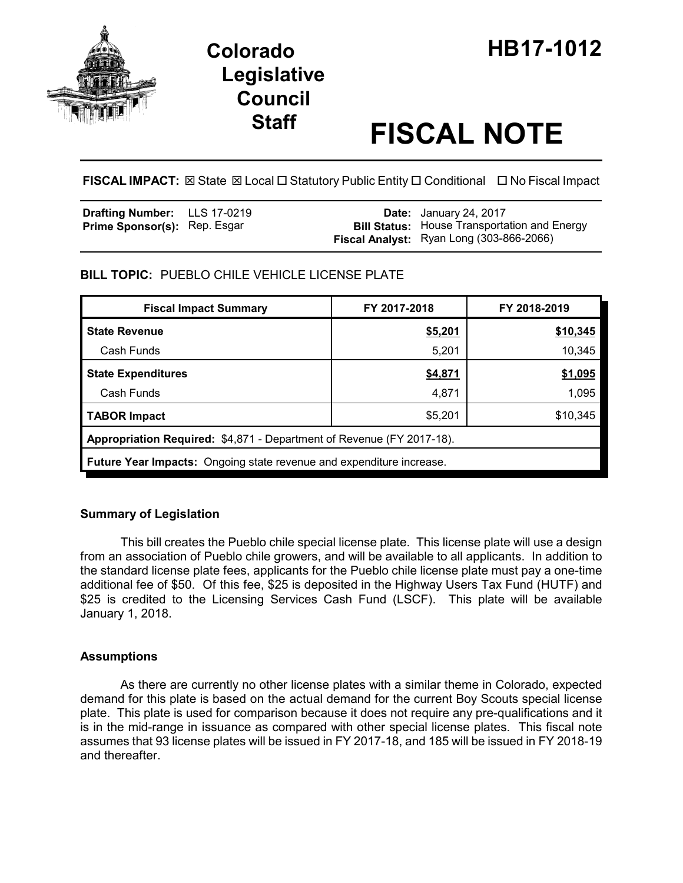

# **Legislative Council**

## **Staff FISCAL NOTE**

**FISCAL IMPACT:** ⊠ State ⊠ Local □ Statutory Public Entity □ Conditional □ No Fiscal Impact

| <b>Drafting Number:</b> LLS 17-0219 |  | <b>Date:</b> January 24, 2017                                                                   |
|-------------------------------------|--|-------------------------------------------------------------------------------------------------|
| <b>Prime Sponsor(s): Rep. Esgar</b> |  | <b>Bill Status:</b> House Transportation and Energy<br>Fiscal Analyst: Ryan Long (303-866-2066) |

#### **BILL TOPIC:** PUEBLO CHILE VEHICLE LICENSE PLATE

| <b>Fiscal Impact Summary</b>                                                | FY 2017-2018 | FY 2018-2019 |  |  |
|-----------------------------------------------------------------------------|--------------|--------------|--|--|
| <b>State Revenue</b>                                                        | \$5,201      | \$10,345     |  |  |
| Cash Funds                                                                  | 5,201        | 10,345       |  |  |
| <b>State Expenditures</b>                                                   | \$4,871      | \$1,095      |  |  |
| Cash Funds                                                                  | 4,871        | 1,095        |  |  |
| <b>TABOR Impact</b>                                                         | \$5,201      | \$10,345     |  |  |
| Appropriation Required: \$4,871 - Department of Revenue (FY 2017-18).       |              |              |  |  |
| <b>Future Year Impacts:</b> Ongoing state revenue and expenditure increase. |              |              |  |  |

#### **Summary of Legislation**

This bill creates the Pueblo chile special license plate. This license plate will use a design from an association of Pueblo chile growers, and will be available to all applicants. In addition to the standard license plate fees, applicants for the Pueblo chile license plate must pay a one-time additional fee of \$50. Of this fee, \$25 is deposited in the Highway Users Tax Fund (HUTF) and \$25 is credited to the Licensing Services Cash Fund (LSCF). This plate will be available January 1, 2018.

#### **Assumptions**

As there are currently no other license plates with a similar theme in Colorado, expected demand for this plate is based on the actual demand for the current Boy Scouts special license plate. This plate is used for comparison because it does not require any pre-qualifications and it is in the mid-range in issuance as compared with other special license plates. This fiscal note assumes that 93 license plates will be issued in FY 2017-18, and 185 will be issued in FY 2018-19 and thereafter.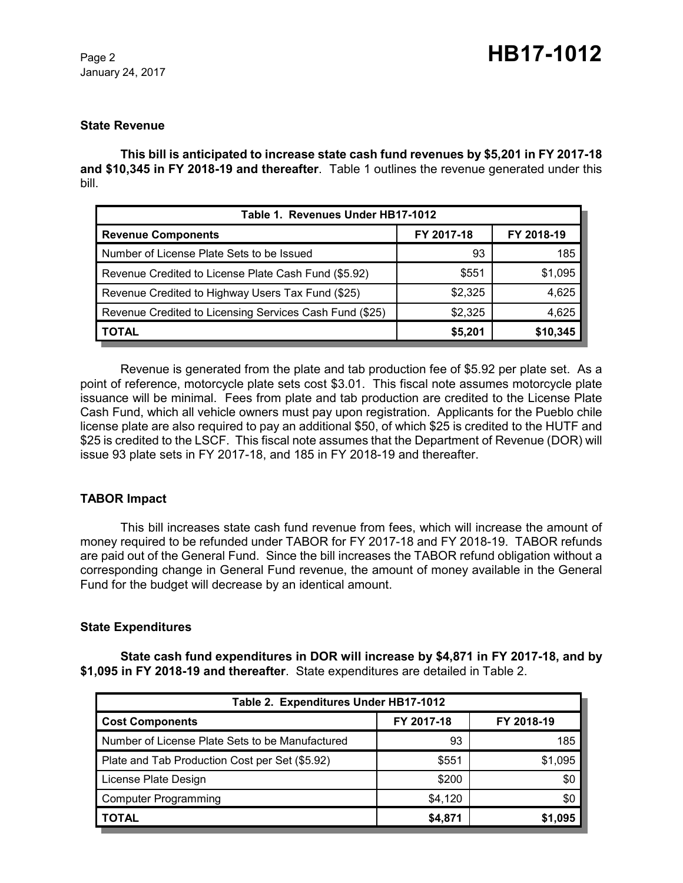January 24, 2017

#### **State Revenue**

**This bill is anticipated to increase state cash fund revenues by \$5,201 in FY 2017-18 and \$10,345 in FY 2018-19 and thereafter**. Table 1 outlines the revenue generated under this bill.

| Table 1. Revenues Under HB17-1012                       |            |            |  |  |  |
|---------------------------------------------------------|------------|------------|--|--|--|
| <b>Revenue Components</b>                               | FY 2017-18 | FY 2018-19 |  |  |  |
| Number of License Plate Sets to be Issued               | 93         | 185        |  |  |  |
| Revenue Credited to License Plate Cash Fund (\$5.92)    | \$551      | \$1,095    |  |  |  |
| Revenue Credited to Highway Users Tax Fund (\$25)       | \$2,325    | 4,625      |  |  |  |
| Revenue Credited to Licensing Services Cash Fund (\$25) | \$2,325    | 4,625      |  |  |  |
| TOTAL                                                   | \$5.201    | \$10,345   |  |  |  |

Revenue is generated from the plate and tab production fee of \$5.92 per plate set. As a point of reference, motorcycle plate sets cost \$3.01. This fiscal note assumes motorcycle plate issuance will be minimal. Fees from plate and tab production are credited to the License Plate Cash Fund, which all vehicle owners must pay upon registration. Applicants for the Pueblo chile license plate are also required to pay an additional \$50, of which \$25 is credited to the HUTF and \$25 is credited to the LSCF. This fiscal note assumes that the Department of Revenue (DOR) will issue 93 plate sets in FY 2017-18, and 185 in FY 2018-19 and thereafter.

#### **TABOR Impact**

This bill increases state cash fund revenue from fees, which will increase the amount of money required to be refunded under TABOR for FY 2017-18 and FY 2018-19. TABOR refunds are paid out of the General Fund. Since the bill increases the TABOR refund obligation without a corresponding change in General Fund revenue, the amount of money available in the General Fund for the budget will decrease by an identical amount.

#### **State Expenditures**

**State cash fund expenditures in DOR will increase by \$4,871 in FY 2017-18, and by \$1,095 in FY 2018-19 and thereafter**. State expenditures are detailed in Table 2.

| Table 2. Expenditures Under HB17-1012           |            |            |  |  |  |
|-------------------------------------------------|------------|------------|--|--|--|
| <b>Cost Components</b>                          | FY 2017-18 | FY 2018-19 |  |  |  |
| Number of License Plate Sets to be Manufactured | 93         | 185        |  |  |  |
| Plate and Tab Production Cost per Set (\$5.92)  | \$551      | \$1,095    |  |  |  |
| License Plate Design                            | \$200      | \$0        |  |  |  |
| Computer Programming                            | \$4,120    | \$0        |  |  |  |
| <b>TOTAL</b>                                    | \$4,871    | \$1,095    |  |  |  |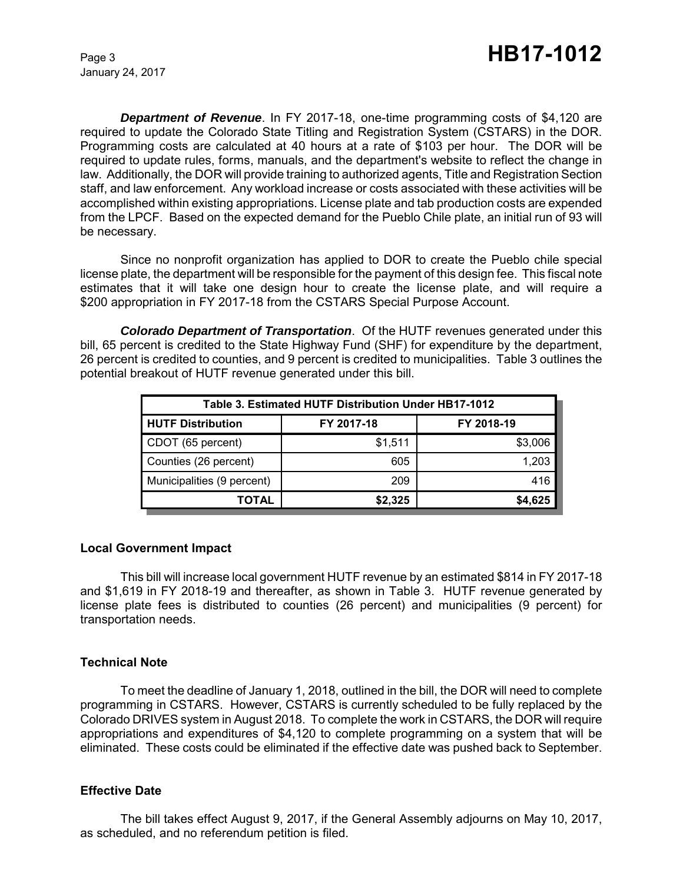January 24, 2017

*Department of Revenue*. In FY 2017-18, one-time programming costs of \$4,120 are required to update the Colorado State Titling and Registration System (CSTARS) in the DOR. Programming costs are calculated at 40 hours at a rate of \$103 per hour. The DOR will be required to update rules, forms, manuals, and the department's website to reflect the change in law. Additionally, the DOR will provide training to authorized agents, Title and Registration Section staff, and law enforcement. Any workload increase or costs associated with these activities will be accomplished within existing appropriations. License plate and tab production costs are expended from the LPCF. Based on the expected demand for the Pueblo Chile plate, an initial run of 93 will be necessary.

Since no nonprofit organization has applied to DOR to create the Pueblo chile special license plate, the department will be responsible for the payment of this design fee. This fiscal note estimates that it will take one design hour to create the license plate, and will require a \$200 appropriation in FY 2017-18 from the CSTARS Special Purpose Account.

*Colorado Department of Transportation*. Of the HUTF revenues generated under this bill, 65 percent is credited to the State Highway Fund (SHF) for expenditure by the department, 26 percent is credited to counties, and 9 percent is credited to municipalities. Table 3 outlines the potential breakout of HUTF revenue generated under this bill.

| Table 3. Estimated HUTF Distribution Under HB17-1012 |            |            |  |  |  |
|------------------------------------------------------|------------|------------|--|--|--|
| <b>HUTF Distribution</b>                             | FY 2017-18 | FY 2018-19 |  |  |  |
| CDOT (65 percent)                                    | \$1,511    | \$3,006    |  |  |  |
| Counties (26 percent)                                | 605        | 1,203      |  |  |  |
| Municipalities (9 percent)                           | 209        | 416        |  |  |  |
| TOTAL                                                | \$2,325    | \$4,625    |  |  |  |

#### **Local Government Impact**

This bill will increase local government HUTF revenue by an estimated \$814 in FY 2017-18 and \$1,619 in FY 2018-19 and thereafter, as shown in Table 3. HUTF revenue generated by license plate fees is distributed to counties (26 percent) and municipalities (9 percent) for transportation needs.

#### **Technical Note**

To meet the deadline of January 1, 2018, outlined in the bill, the DOR will need to complete programming in CSTARS. However, CSTARS is currently scheduled to be fully replaced by the Colorado DRIVES system in August 2018. To complete the work in CSTARS, the DOR will require appropriations and expenditures of \$4,120 to complete programming on a system that will be eliminated. These costs could be eliminated if the effective date was pushed back to September.

#### **Effective Date**

The bill takes effect August 9, 2017, if the General Assembly adjourns on May 10, 2017, as scheduled, and no referendum petition is filed.